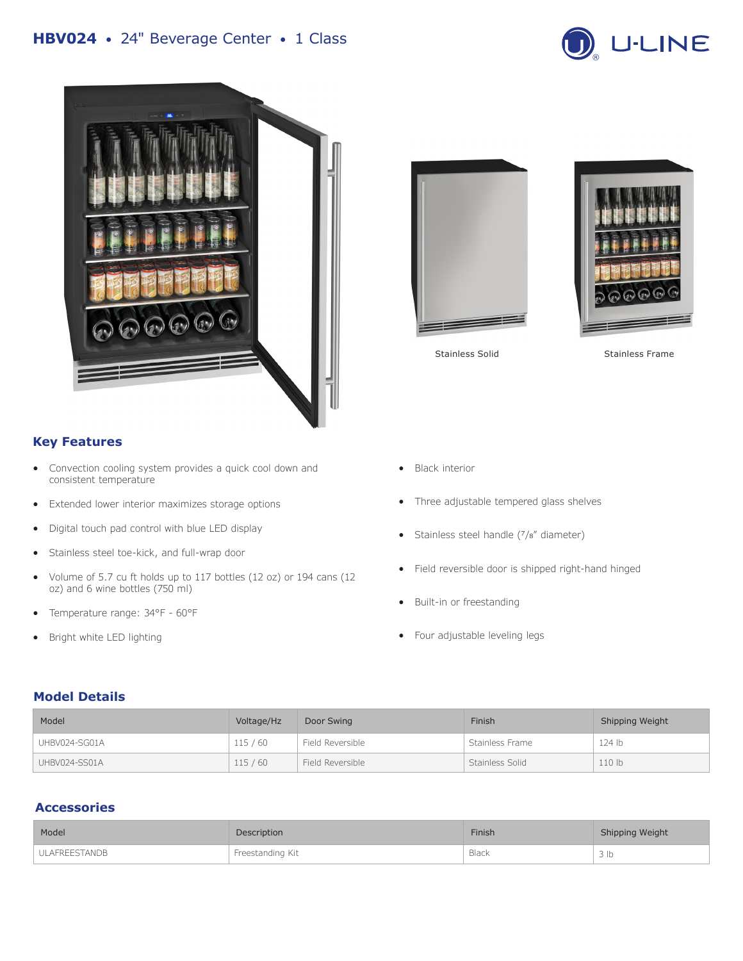# **HBV024** • 24" Beverage Center • 1 Class





# **Key Features**

- Convection cooling system provides a quick cool down and consistent temperature
- Extended lower interior maximizes storage options
- Digital touch pad control with blue LED display
- Stainless steel toe-kick, and full-wrap door
- Volume of 5.7 cu ft holds up to 117 bottles (12 oz) or 194 cans (12 oz) and 6 wine bottles (750 ml)
- Temperature range: 34°F 60°F
- Bright white LED lighting





Stainless Solid Stainless Frame

- Black interior
- Three adjustable tempered glass shelves
- Stainless steel handle (7/8" diameter)
- Field reversible door is shipped right-hand hinged
- Built-in or freestanding
- Four adjustable leveling legs

### **Model Details**

| Model         | Voltage/Hz | Door Swing       | Finish          | Shipping Weight   |
|---------------|------------|------------------|-----------------|-------------------|
| UHBV024-SG01A | 115/60     | Field Reversible | Stainless Frame | 124 <sub>lb</sub> |
| UHBV024-SS01A | 115/60     | Field Reversible | Stainless Solid | 110 <sub>b</sub>  |

### **Accessories**

| Model                | Description      | <b>Finish</b> | Shipping Weight |
|----------------------|------------------|---------------|-----------------|
| <b>ULAFREESTANDB</b> | Freestanding Kit | Black         | 3 Ib            |